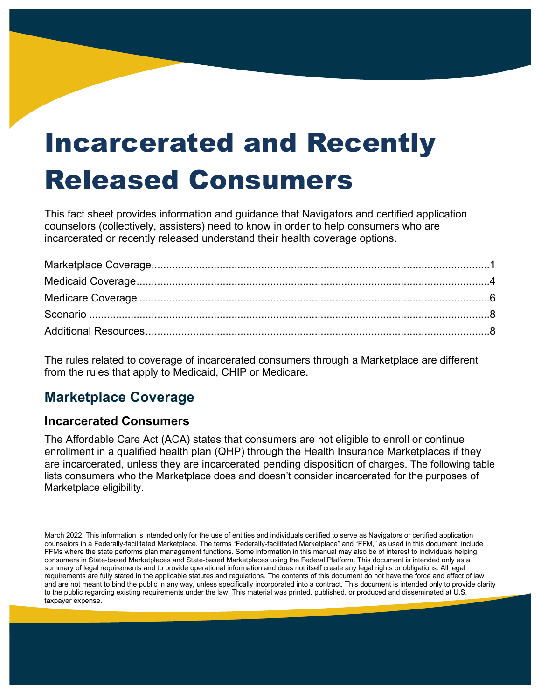# Incarcerated and Recently Released Consumers

This fact sheet provides information and guidance that Navigators and certified application counselors (collectively, assisters) need to know in order to help consumers who are incarcerated or recently released understand their health coverage options.

The rules related to coverage of incarcerated consumers through a Marketplace are different from the rules that apply to Medicaid, CHIP or Medicare.

## <span id="page-0-0"></span>**Marketplace Coverage**

#### **Incarcerated Consumers**

The Affordable Care Act (ACA) states that consumers are not eligible to enroll or continue enrollment in a qualified health plan (QHP) through the Health Insurance Marketplaces if they are incarcerated, unless they are incarcerated pending disposition of charges. The following table lists consumers who the Marketplace does and doesn't consider incarcerated for the purposes of Marketplace eligibility.

March 2022. This information is intended only for the use of entities and individuals certified to serve as Navigators or certified application counselors in a Federally-facilitated Marketplace. The terms "Federally-facilitated Marketplace" and "FFM," as used in this document, include FFMs where the state performs plan management functions. Some information in this manual may also be of interest to individuals helping consumers in State-based Marketplaces and State-based Marketplaces using the Federal Platform. This document is intended only as a summary of legal requirements and to provide operational information and does not itself create any legal rights or obligations. All legal requirements are fully stated in the applicable statutes and regulations. The contents of this document do not have the force and effect of law and are not meant to bind the public in any way, unless specifically incorporated into a contract. This document is intended only to provide clarity to the public regarding existing requirements under the law. This material was printed, published, or produced and disseminated at U.S. taxpayer expense.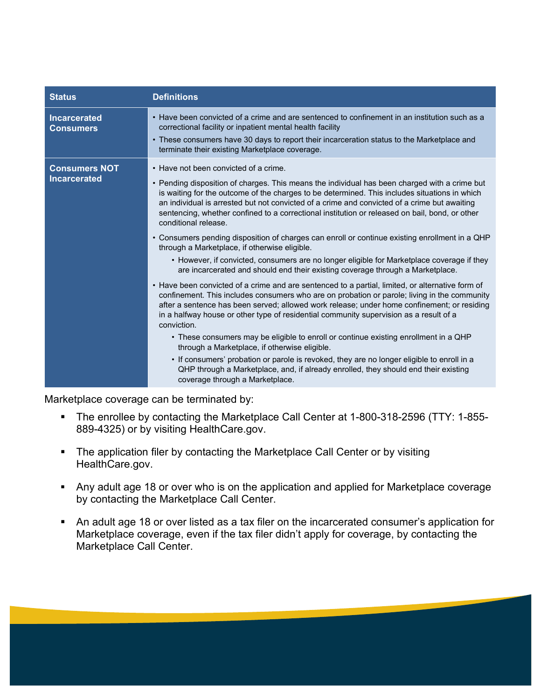| <b>Status</b>                               | <b>Definitions</b>                                                                                                                                                                                                                                                                                                                                                                                                                                                                                                                                                                                                                                                                                                                                                                                                                                                                                                                                                                                                                                                                                                                                                                                                                                                                                                                                                                                                                                                                                                                                                                |
|---------------------------------------------|-----------------------------------------------------------------------------------------------------------------------------------------------------------------------------------------------------------------------------------------------------------------------------------------------------------------------------------------------------------------------------------------------------------------------------------------------------------------------------------------------------------------------------------------------------------------------------------------------------------------------------------------------------------------------------------------------------------------------------------------------------------------------------------------------------------------------------------------------------------------------------------------------------------------------------------------------------------------------------------------------------------------------------------------------------------------------------------------------------------------------------------------------------------------------------------------------------------------------------------------------------------------------------------------------------------------------------------------------------------------------------------------------------------------------------------------------------------------------------------------------------------------------------------------------------------------------------------|
| <b>Incarcerated</b><br><b>Consumers</b>     | • Have been convicted of a crime and are sentenced to confinement in an institution such as a<br>correctional facility or inpatient mental health facility<br>• These consumers have 30 days to report their incarceration status to the Marketplace and<br>terminate their existing Marketplace coverage.                                                                                                                                                                                                                                                                                                                                                                                                                                                                                                                                                                                                                                                                                                                                                                                                                                                                                                                                                                                                                                                                                                                                                                                                                                                                        |
| <b>Consumers NOT</b><br><b>Incarcerated</b> | • Have not been convicted of a crime.<br>• Pending disposition of charges. This means the individual has been charged with a crime but<br>is waiting for the outcome of the charges to be determined. This includes situations in which<br>an individual is arrested but not convicted of a crime and convicted of a crime but awaiting<br>sentencing, whether confined to a correctional institution or released on bail, bond, or other<br>conditional release.<br>• Consumers pending disposition of charges can enroll or continue existing enrollment in a QHP<br>through a Marketplace, if otherwise eligible.<br>• However, if convicted, consumers are no longer eligible for Marketplace coverage if they<br>are incarcerated and should end their existing coverage through a Marketplace.<br>• Have been convicted of a crime and are sentenced to a partial, limited, or alternative form of<br>confinement. This includes consumers who are on probation or parole; living in the community<br>after a sentence has been served; allowed work release; under home confinement; or residing<br>in a halfway house or other type of residential community supervision as a result of a<br>conviction.<br>• These consumers may be eligible to enroll or continue existing enrollment in a QHP<br>through a Marketplace, if otherwise eligible.<br>• If consumers' probation or parole is revoked, they are no longer eligible to enroll in a<br>QHP through a Marketplace, and, if already enrolled, they should end their existing<br>coverage through a Marketplace. |

Marketplace coverage can be terminated by:

- The enrollee by contacting the Marketplace Call Center at 1-800-318-2596 (TTY: 1-855- 889-4325) or by visiting HealthCare.gov.
- The application filer by contacting the Marketplace Call Center or by visiting HealthCare.gov.
- Any adult age 18 or over who is on the application and applied for Marketplace coverage by contacting the Marketplace Call Center.
- An adult age 18 or over listed as a tax filer on the incarcerated consumer's application for Marketplace coverage, even if the tax filer didn't apply for coverage, by contacting the Marketplace Call Center.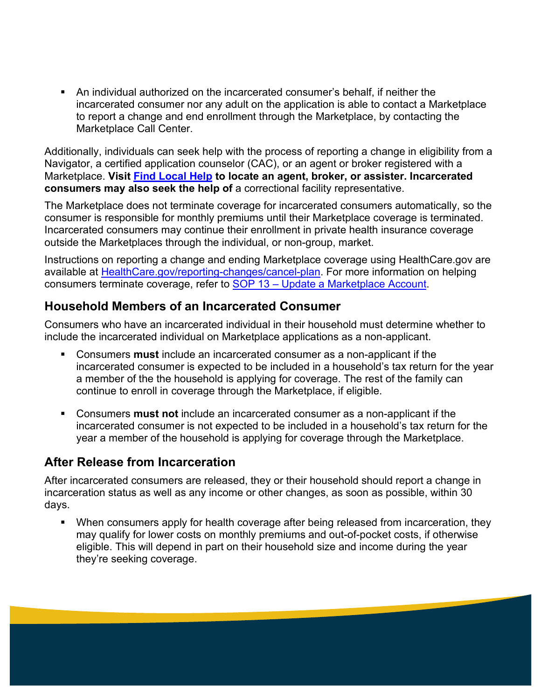An individual authorized on the incarcerated consumer's behalf, if neither the incarcerated consumer nor any adult on the application is able to contact a Marketplace to report a change and end enrollment through the Marketplace, by contacting the Marketplace Call Center.

Additionally, individuals can seek help with the process of reporting a change in eligibility from a Navigator, a certified application counselor (CAC), or an agent or broker registered with a Marketplace. **Visit [Find Local Help](https://localhelp.healthcare.gov/#/) to locate an agent, broker, or assister. Incarcerated consumers may also seek the help of** a correctional facility representative.

The Marketplace does not terminate coverage for incarcerated consumers automatically, so the consumer is responsible for monthly premiums until their Marketplace coverage is terminated. Incarcerated consumers may continue their enrollment in private health insurance coverage outside the Marketplaces through the individual, or non-group, market.

Instructions on reporting a change and ending Marketplace coverage using HealthCare.gov are available at **HealthCare.gov/reporting-changes/cancel-plan**. For more information on helping consumers terminate coverage, refer to [SOP 13 – Update a Marketplace Account.](https://marketplace.cms.gov/technical-assistance-resources/sop-section-13.pdf)

#### **Household Members of an Incarcerated Consumer**

Consumers who have an incarcerated individual in their household must determine whether to include the incarcerated individual on Marketplace applications as a non-applicant.

- Consumers **must** include an incarcerated consumer as a non-applicant if the incarcerated consumer is expected to be included in a household's tax return for the year a member of the the household is applying for coverage. The rest of the family can continue to enroll in coverage through the Marketplace, if eligible.
- Consumers **must not** include an incarcerated consumer as a non-applicant if the incarcerated consumer is not expected to be included in a household's tax return for the year a member of the household is applying for coverage through the Marketplace.

#### **After Release from Incarceration**

After incarcerated consumers are released, they or their household should report a change in incarceration status as well as any income or other changes, as soon as possible, within 30 days.

 When consumers apply for health coverage after being released from incarceration, they may qualify for lower costs on monthly premiums and out-of-pocket costs, if otherwise eligible. This will depend in part on their household size and income during the year they're seeking coverage.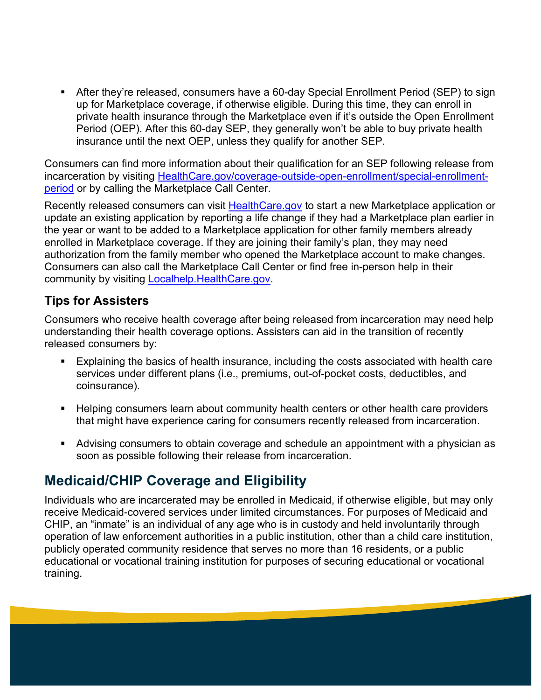After they're released, consumers have a 60-day Special Enrollment Period (SEP) to sign up for Marketplace coverage, if otherwise eligible. During this time, they can enroll in private health insurance through the Marketplace even if it's outside the Open Enrollment Period (OEP). After this 60-day SEP, they generally won't be able to buy private health insurance until the next OEP, unless they qualify for another SEP.

Consumers can find more information about their qualification for an SEP following release from incarceration by visiting [HealthCare.gov/coverage-outside-open-enrollment/special-enrollment](https://www.healthcare.gov/coverage-outside-open-enrollment/special-enrollment-period/)[period](https://www.healthcare.gov/coverage-outside-open-enrollment/special-enrollment-period/) or by calling the Marketplace Call Center.

Recently released consumers can visit **HealthCare.gov** to start a new Marketplace application or update an existing application by reporting a life change if they had a Marketplace plan earlier in the year or want to be added to a Marketplace application for other family members already enrolled in Marketplace coverage. If they are joining their family's plan, they may need authorization from the family member who opened the Marketplace account to make changes. Consumers can also call the Marketplace Call Center or find free in-person help in their community by visiting [Localhelp.HealthCare.gov.](https://localhelp.healthcare.gov/#/)

#### **Tips for Assisters**

Consumers who receive health coverage after being released from incarceration may need help understanding their health coverage options. Assisters can aid in the transition of recently released consumers by:

- Explaining the basics of health insurance, including the costs associated with health care services under different plans (i.e., premiums, out-of-pocket costs, deductibles, and coinsurance).
- **Helping consumers learn about community health centers or other health care providers** that might have experience caring for consumers recently released from incarceration.
- Advising consumers to obtain coverage and schedule an appointment with a physician as soon as possible following their release from incarceration.

## <span id="page-3-0"></span>**Medicaid/CHIP Coverage and Eligibility**

Individuals who are incarcerated may be enrolled in Medicaid, if otherwise eligible, but may only receive Medicaid-covered services under limited circumstances. For purposes of Medicaid and CHIP, an "inmate" is an individual of any age who is in custody and held involuntarily through operation of law enforcement authorities in a public institution, other than a child care institution, publicly operated community residence that serves no more than 16 residents, or a public educational or vocational training institution for purposes of securing educational or vocational training.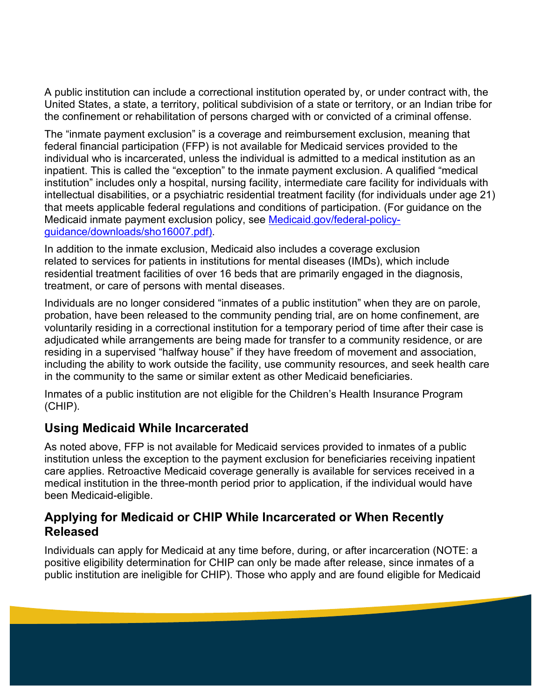A public institution can include a correctional institution operated by, or under contract with, the United States, a state, a territory, political subdivision of a state or territory, or an Indian tribe for the confinement or rehabilitation of persons charged with or convicted of a criminal offense.

The "inmate payment exclusion" is a coverage and reimbursement exclusion, meaning that federal financial participation (FFP) is not available for Medicaid services provided to the individual who is incarcerated, unless the individual is admitted to a medical institution as an inpatient. This is called the "exception" to the inmate payment exclusion. A qualified "medical institution" includes only a hospital, nursing facility, intermediate care facility for individuals with intellectual disabilities, or a psychiatric residential treatment facility (for individuals under age 21) that meets applicable federal regulations and conditions of participation. (For guidance on the Medicaid inmate payment exclusion policy, see [Medicaid.gov/federal-policy](https://www.medicaid.gov/federal-policy-guidance/downloads/sho16007.pdf)[guidance/downloads/sho16007.pdf\).](https://www.medicaid.gov/federal-policy-guidance/downloads/sho16007.pdf)

In addition to the inmate exclusion, Medicaid also includes a coverage exclusion related to services for patients in institutions for mental diseases (IMDs), which include residential treatment facilities of over 16 beds that are primarily engaged in the diagnosis, treatment, or care of persons with mental diseases.

Individuals are no longer considered "inmates of a public institution" when they are on parole, probation, have been released to the community pending trial, are on home confinement, are voluntarily residing in a correctional institution for a temporary period of time after their case is adjudicated while arrangements are being made for transfer to a community residence, or are residing in a supervised "halfway house" if they have freedom of movement and association, including the ability to work outside the facility, use community resources, and seek health care in the community to the same or similar extent as other Medicaid beneficiaries.

Inmates of a public institution are not eligible for the Children's Health Insurance Program (CHIP).

#### **Using Medicaid While Incarcerated**

As noted above, FFP is not available for Medicaid services provided to inmates of a public institution unless the exception to the payment exclusion for beneficiaries receiving inpatient care applies. Retroactive Medicaid coverage generally is available for services received in a medical institution in the three-month period prior to application, if the individual would have been Medicaid-eligible.

#### **Applying for Medicaid or CHIP While Incarcerated or When Recently Released**

Individuals can apply for Medicaid at any time before, during, or after incarceration (NOTE: a positive eligibility determination for CHIP can only be made after release, since inmates of a public institution are ineligible for CHIP). Those who apply and are found eligible for Medicaid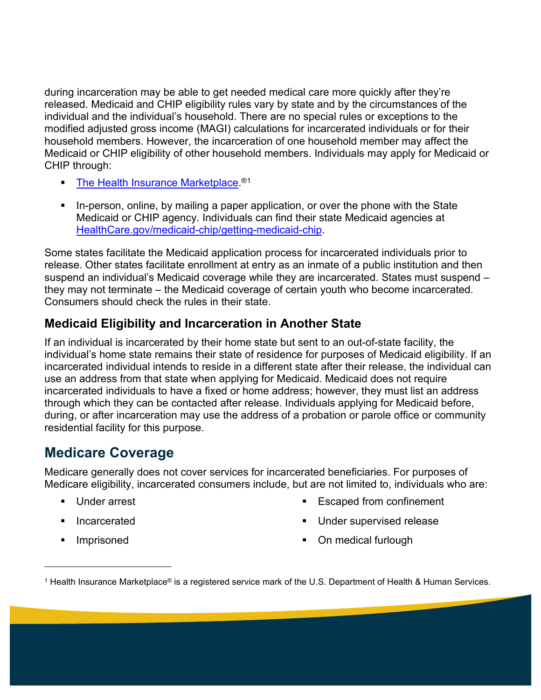during incarceration may be able to get needed medical care more quickly after they're released. Medicaid and CHIP eligibility rules vary by state and by the circumstances of the individual and the individual's household. There are no special rules or exceptions to the modified adjusted gross income (MAGI) calculations for incarcerated individuals or for their household members. However, the incarceration of one household member may affect the Medicaid or CHIP eligibility of other household members. Individuals may apply for Medicaid or CHIP through:

- [The Health Insurance Marketplace.](https://www.healthcare.gov/)<sup>®[1](#page-5-1)</sup>
- In-person, online, by mailing a paper application, or over the phone with the State Medicaid or CHIP agency. Individuals can find their state Medicaid agencies at [HealthCare.gov/medicaid-chip/getting-medicaid-chip.](https://www.healthcare.gov/medicaid-chip/getting-medicaid-chip/)

Some states facilitate the Medicaid application process for incarcerated individuals prior to release. Other states facilitate enrollment at entry as an inmate of a public institution and then suspend an individual's Medicaid coverage while they are incarcerated. States must suspend – they may not terminate – the Medicaid coverage of certain youth who become incarcerated. Consumers should check the rules in their state.

#### **Medicaid Eligibility and Incarceration in Another State**

If an individual is incarcerated by their home state but sent to an out-of-state facility, the individual's home state remains their state of residence for purposes of Medicaid eligibility. If an incarcerated individual intends to reside in a different state after their release, the individual can use an address from that state when applying for Medicaid. Medicaid does not require incarcerated individuals to have a fixed or home address; however, they must list an address through which they can be contacted after release. Individuals applying for Medicaid before, during, or after incarceration may use the address of a probation or parole office or community residential facility for this purpose.

## <span id="page-5-0"></span>**Medicare Coverage**

Medicare generally does not cover services for incarcerated beneficiaries. For purposes of Medicare eligibility, incarcerated consumers include, but are not limited to, individuals who are:

- **Under arrest**
- **Incarcerated**
- **Imprisoned**
- **Escaped from confinement**
- **Under supervised release**
- On medical furlough

<span id="page-5-1"></span><sup>&</sup>lt;sup>1</sup> Health Insurance Marketplace® is a registered service mark of the U.S. Department of Health & Human Services.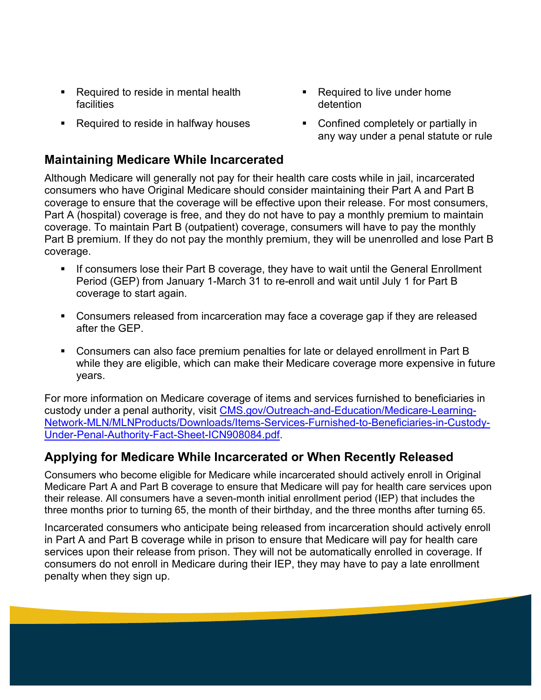- Required to reside in mental health facilities
- Required to reside in halfway houses

#### **Maintaining Medicare While Incarcerated**

Although Medicare will generally not pay for their health care costs while in jail, incarcerated consumers who have Original Medicare should consider maintaining their Part A and Part B coverage to ensure that the coverage will be effective upon their release. For most consumers, Part A (hospital) coverage is free, and they do not have to pay a monthly premium to maintain coverage. To maintain Part B (outpatient) coverage, consumers will have to pay the monthly Part B premium. If they do not pay the monthly premium, they will be unenrolled and lose Part B coverage.

- If consumers lose their Part B coverage, they have to wait until the General Enrollment Period (GEP) from January 1-March 31 to re-enroll and wait until July 1 for Part B coverage to start again.
- Consumers released from incarceration may face a coverage gap if they are released after the GEP.
- Consumers can also face premium penalties for late or delayed enrollment in Part B while they are eligible, which can make their Medicare coverage more expensive in future years.

For more information on Medicare coverage of items and services furnished to beneficiaries in custody under a penal authority, visit [CMS.gov/Outreach-and-Education/Medicare-Learning-](https://www.cms.gov/Outreach-and-Education/Medicare-Learning-Network-MLN/MLNProducts/Downloads/Items-Services-Furnished-to-Beneficiaries-in-Custody-Under-Penal-Authority-Fact-Sheet-ICN908084.pdf)[Network-MLN/MLNProducts/Downloads/Items-Services-Furnished-to-Beneficiaries-in-Custody-](https://www.cms.gov/Outreach-and-Education/Medicare-Learning-Network-MLN/MLNProducts/Downloads/Items-Services-Furnished-to-Beneficiaries-in-Custody-Under-Penal-Authority-Fact-Sheet-ICN908084.pdf)[Under-Penal-Authority-Fact-Sheet-ICN908084.pdf.](https://www.cms.gov/Outreach-and-Education/Medicare-Learning-Network-MLN/MLNProducts/Downloads/Items-Services-Furnished-to-Beneficiaries-in-Custody-Under-Penal-Authority-Fact-Sheet-ICN908084.pdf)

#### **Applying for Medicare While Incarcerated or When Recently Released**

Consumers who become eligible for Medicare while incarcerated should actively enroll in Original Medicare Part A and Part B coverage to ensure that Medicare will pay for health care services upon their release. All consumers have a seven-month initial enrollment period (IEP) that includes the three months prior to turning 65, the month of their birthday, and the three months after turning 65.

Incarcerated consumers who anticipate being released from incarceration should actively enroll in Part A and Part B coverage while in prison to ensure that Medicare will pay for health care services upon their release from prison. They will not be automatically enrolled in coverage. If consumers do not enroll in Medicare during their IEP, they may have to pay a late enrollment penalty when they sign up.

- Required to live under home detention
- Confined completely or partially in any way under a penal statute or rule